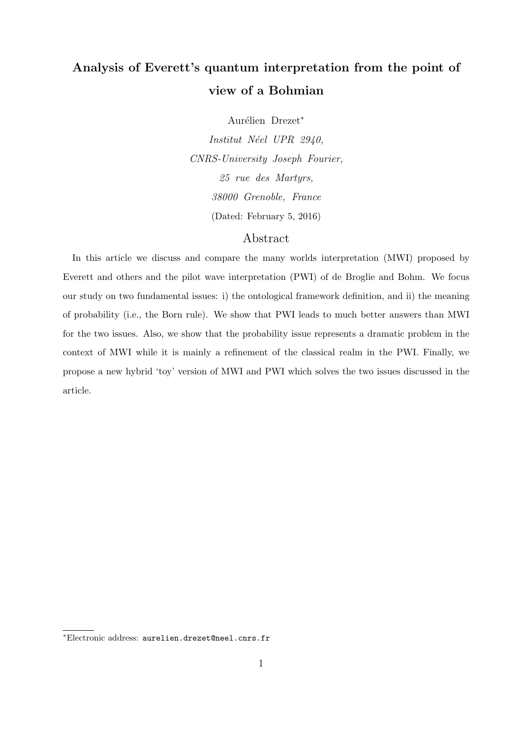# Analysis of Everett's quantum interpretation from the point of view of a Bohmian

Aurélien Drezet<sup>\*</sup>

*Institut N´eel UPR 2940, CNRS-University Joseph Fourier, 25 rue des Martyrs, 38000 Grenoble, France* (Dated: February 5, 2016)

## Abstract

In this article we discuss and compare the many worlds interpretation (MWI) proposed by Everett and others and the pilot wave interpretation (PWI) of de Broglie and Bohm. We focus our study on two fundamental issues: i) the ontological framework definition, and ii) the meaning of probability (i.e., the Born rule). We show that PWI leads to much better answers than MWI for the two issues. Also, we show that the probability issue represents a dramatic problem in the context of MWI while it is mainly a refinement of the classical realm in the PWI. Finally, we propose a new hybrid 'toy' version of MWI and PWI which solves the two issues discussed in the article.

<sup>∗</sup>Electronic address: aurelien.drezet@neel.cnrs.fr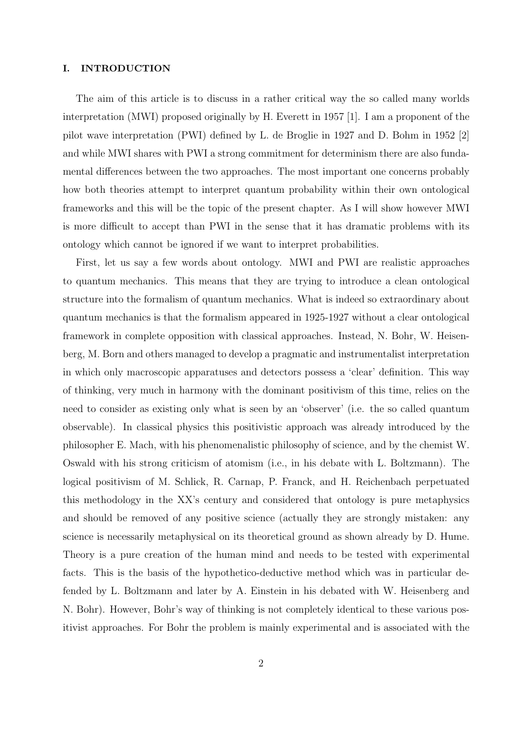#### I. INTRODUCTION

The aim of this article is to discuss in a rather critical way the so called many worlds interpretation (MWI) proposed originally by H. Everett in 1957 [1]. I am a proponent of the pilot wave interpretation (PWI) defined by L. de Broglie in 1927 and D. Bohm in 1952 [2] and while MWI shares with PWI a strong commitment for determinism there are also fundamental differences between the two approaches. The most important one concerns probably how both theories attempt to interpret quantum probability within their own ontological frameworks and this will be the topic of the present chapter. As I will show however MWI is more difficult to accept than PWI in the sense that it has dramatic problems with its ontology which cannot be ignored if we want to interpret probabilities.

First, let us say a few words about ontology. MWI and PWI are realistic approaches to quantum mechanics. This means that they are trying to introduce a clean ontological structure into the formalism of quantum mechanics. What is indeed so extraordinary about quantum mechanics is that the formalism appeared in 1925-1927 without a clear ontological framework in complete opposition with classical approaches. Instead, N. Bohr, W. Heisenberg, M. Born and others managed to develop a pragmatic and instrumentalist interpretation in which only macroscopic apparatuses and detectors possess a 'clear' definition. This way of thinking, very much in harmony with the dominant positivism of this time, relies on the need to consider as existing only what is seen by an 'observer' (i.e. the so called quantum observable). In classical physics this positivistic approach was already introduced by the philosopher E. Mach, with his phenomenalistic philosophy of science, and by the chemist W. Oswald with his strong criticism of atomism (i.e., in his debate with L. Boltzmann). The logical positivism of M. Schlick, R. Carnap, P. Franck, and H. Reichenbach perpetuated this methodology in the XX's century and considered that ontology is pure metaphysics and should be removed of any positive science (actually they are strongly mistaken: any science is necessarily metaphysical on its theoretical ground as shown already by D. Hume. Theory is a pure creation of the human mind and needs to be tested with experimental facts. This is the basis of the hypothetico-deductive method which was in particular defended by L. Boltzmann and later by A. Einstein in his debated with W. Heisenberg and N. Bohr). However, Bohr's way of thinking is not completely identical to these various positivist approaches. For Bohr the problem is mainly experimental and is associated with the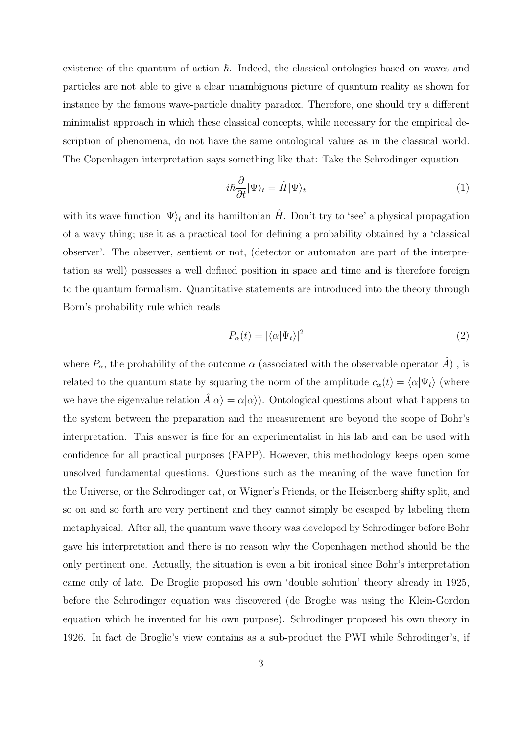existence of the quantum of action  $\hbar$ . Indeed, the classical ontologies based on waves and particles are not able to give a clear unambiguous picture of quantum reality as shown for instance by the famous wave-particle duality paradox. Therefore, one should try a different minimalist approach in which these classical concepts, while necessary for the empirical description of phenomena, do not have the same ontological values as in the classical world. The Copenhagen interpretation says something like that: Take the Schrodinger equation

$$
i\hbar \frac{\partial}{\partial t} |\Psi\rangle_t = \hat{H} |\Psi\rangle_t \tag{1}
$$

with its wave function  $|\Psi\rangle_t$  and its hamiltonian  $\hat{H}$ . Don't try to 'see' a physical propagation of a wavy thing; use it as a practical tool for defining a probability obtained by a 'classical observer'. The observer, sentient or not, (detector or automaton are part of the interpretation as well) possesses a well defined position in space and time and is therefore foreign to the quantum formalism. Quantitative statements are introduced into the theory through Born's probability rule which reads

$$
P_{\alpha}(t) = |\langle \alpha | \Psi_t \rangle|^2 \tag{2}
$$

where  $P_{\alpha}$ , the probability of the outcome  $\alpha$  (associated with the observable operator A), is related to the quantum state by squaring the norm of the amplitude  $c_{\alpha}(t) = \langle \alpha | \Psi_t \rangle$  (where we have the eigenvalue relation  $\hat{A}|\alpha\rangle = \alpha|\alpha\rangle$ . Ontological questions about what happens to the system between the preparation and the measurement are beyond the scope of Bohr's interpretation. This answer is fine for an experimentalist in his lab and can be used with confidence for all practical purposes (FAPP). However, this methodology keeps open some unsolved fundamental questions. Questions such as the meaning of the wave function for the Universe, or the Schrodinger cat, or Wigner's Friends, or the Heisenberg shifty split, and so on and so forth are very pertinent and they cannot simply be escaped by labeling them metaphysical. After all, the quantum wave theory was developed by Schrodinger before Bohr gave his interpretation and there is no reason why the Copenhagen method should be the only pertinent one. Actually, the situation is even a bit ironical since Bohr's interpretation came only of late. De Broglie proposed his own 'double solution' theory already in 1925, before the Schrodinger equation was discovered (de Broglie was using the Klein-Gordon equation which he invented for his own purpose). Schrodinger proposed his own theory in 1926. In fact de Broglie's view contains as a sub-product the PWI while Schrodinger's, if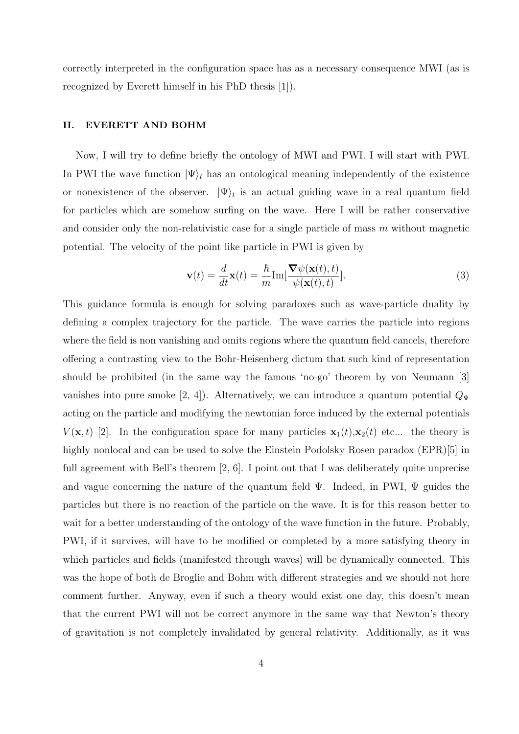correctly interpreted in the configuration space has as a necessary consequence MWI (as is recognized by Everett himself in his PhD thesis [1]).

#### II. EVERETT AND BOHM

Now, I will try to define briefly the ontology of MWI and PWI. I will start with PWI. In PWI the wave function  $|\Psi\rangle_t$  has an ontological meaning independently of the existence or nonexistence of the observer.  $|\Psi\rangle_t$  is an actual guiding wave in a real quantum field for particles which are somehow surfing on the wave. Here I will be rather conservative and consider only the non-relativistic case for a single particle of mass  $m$  without magnetic potential. The velocity of the point like particle in PWI is given by

$$
\mathbf{v}(t) = \frac{d}{dt}\mathbf{x}(t) = \frac{\hbar}{m}\text{Im}[\frac{\nabla\psi(\mathbf{x}(t),t)}{\psi(\mathbf{x}(t),t)}].
$$
\n(3)

This guidance formula is enough for solving paradoxes such as wave-particle duality by defining a complex trajectory for the particle. The wave carries the particle into regions where the field is non vanishing and omits regions where the quantum field cancels, therefore offering a contrasting view to the Bohr-Heisenberg dictum that such kind of representation should be prohibited (in the same way the famous 'no-go' theorem by von Neumann [3] vanishes into pure smoke [2, 4]). Alternatively, we can introduce a quantum potential  $Q_{\Psi}$ acting on the particle and modifying the newtonian force induced by the external potentials  $V(\mathbf{x}, t)$  [2]. In the configuration space for many particles  $\mathbf{x}_1(t), \mathbf{x}_2(t)$  etc... the theory is highly nonlocal and can be used to solve the Einstein Podolsky Rosen paradox (EPR)[5] in full agreement with Bell's theorem [2, 6]. I point out that I was deliberately quite unprecise and vague concerning the nature of the quantum field  $\Psi$ . Indeed, in PWI,  $\Psi$  guides the particles but there is no reaction of the particle on the wave. It is for this reason better to wait for a better understanding of the ontology of the wave function in the future. Probably, PWI, if it survives, will have to be modified or completed by a more satisfying theory in which particles and fields (manifested through waves) will be dynamically connected. This was the hope of both de Broglie and Bohm with different strategies and we should not here comment further. Anyway, even if such a theory would exist one day, this doesn't mean that the current PWI will not be correct anymore in the same way that Newton's theory of gravitation is not completely invalidated by general relativity. Additionally, as it was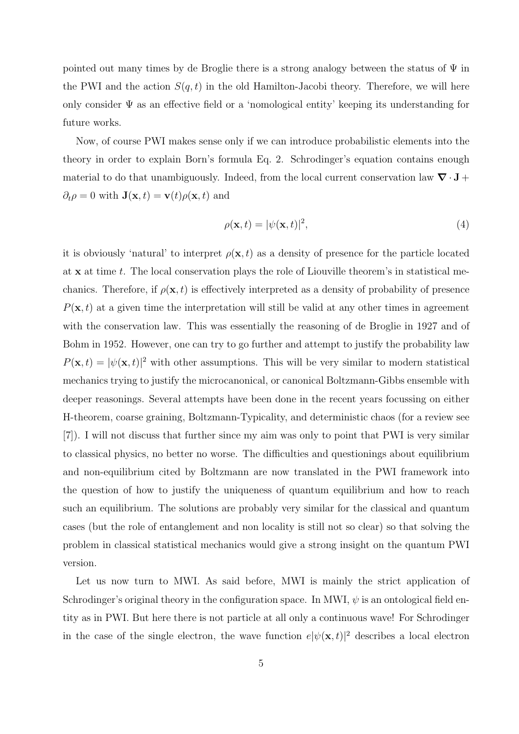pointed out many times by de Broglie there is a strong analogy between the status of  $\Psi$  in the PWI and the action  $S(q,t)$  in the old Hamilton-Jacobi theory. Therefore, we will here only consider  $\Psi$  as an effective field or a 'nomological entity' keeping its understanding for future works.

Now, of course PWI makes sense only if we can introduce probabilistic elements into the theory in order to explain Born's formula Eq. 2. Schrodinger's equation contains enough material to do that unambiguously. Indeed, from the local current conservation law  $\nabla \cdot \mathbf{J} +$  $\partial_t \rho = 0$  with  $\mathbf{J}(\mathbf{x}, t) = \mathbf{v}(t) \rho(\mathbf{x}, t)$  and

$$
\rho(\mathbf{x},t) = |\psi(\mathbf{x},t)|^2,\tag{4}
$$

it is obviously 'natural' to interpret  $\rho(\mathbf{x}, t)$  as a density of presence for the particle located at  $x$  at time t. The local conservation plays the role of Liouville theorem's in statistical mechanics. Therefore, if  $\rho(\mathbf{x}, t)$  is effectively interpreted as a density of probability of presence  $P(\mathbf{x}, t)$  at a given time the interpretation will still be valid at any other times in agreement with the conservation law. This was essentially the reasoning of de Broglie in 1927 and of Bohm in 1952. However, one can try to go further and attempt to justify the probability law  $P(\mathbf{x},t) = |\psi(\mathbf{x},t)|^2$  with other assumptions. This will be very similar to modern statistical mechanics trying to justify the microcanonical, or canonical Boltzmann-Gibbs ensemble with deeper reasonings. Several attempts have been done in the recent years focussing on either H-theorem, coarse graining, Boltzmann-Typicality, and deterministic chaos (for a review see [7]). I will not discuss that further since my aim was only to point that PWI is very similar to classical physics, no better no worse. The difficulties and questionings about equilibrium and non-equilibrium cited by Boltzmann are now translated in the PWI framework into the question of how to justify the uniqueness of quantum equilibrium and how to reach such an equilibrium. The solutions are probably very similar for the classical and quantum cases (but the role of entanglement and non locality is still not so clear) so that solving the problem in classical statistical mechanics would give a strong insight on the quantum PWI version.

Let us now turn to MWI. As said before, MWI is mainly the strict application of Schrodinger's original theory in the configuration space. In MWI,  $\psi$  is an ontological field entity as in PWI. But here there is not particle at all only a continuous wave! For Schrodinger in the case of the single electron, the wave function  $e^{|\psi(\mathbf{x},t)|^2}$  describes a local electron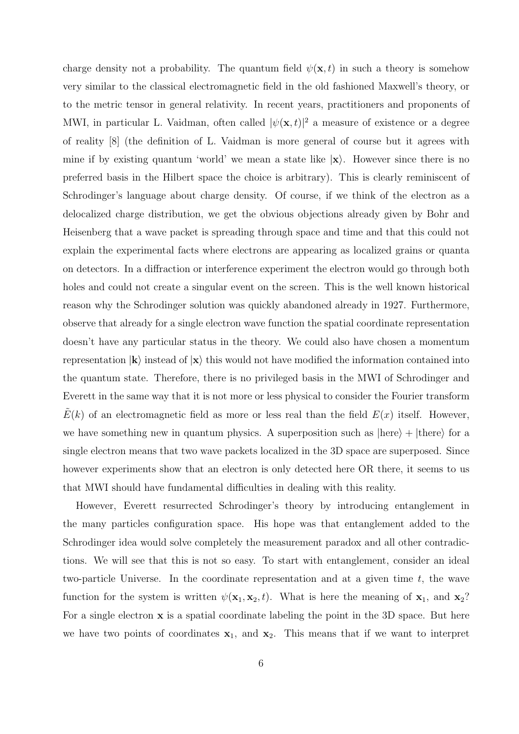charge density not a probability. The quantum field  $\psi(\mathbf{x},t)$  in such a theory is somehow very similar to the classical electromagnetic field in the old fashioned Maxwell's theory, or to the metric tensor in general relativity. In recent years, practitioners and proponents of MWI, in particular L. Vaidman, often called  $|\psi(\mathbf{x},t)|^2$  a measure of existence or a degree of reality [8] (the definition of L. Vaidman is more general of course but it agrees with mine if by existing quantum 'world' we mean a state like  $|x\rangle$ . However since there is no preferred basis in the Hilbert space the choice is arbitrary). This is clearly reminiscent of Schrodinger's language about charge density. Of course, if we think of the electron as a delocalized charge distribution, we get the obvious objections already given by Bohr and Heisenberg that a wave packet is spreading through space and time and that this could not explain the experimental facts where electrons are appearing as localized grains or quanta on detectors. In a diffraction or interference experiment the electron would go through both holes and could not create a singular event on the screen. This is the well known historical reason why the Schrodinger solution was quickly abandoned already in 1927. Furthermore, observe that already for a single electron wave function the spatial coordinate representation doesn't have any particular status in the theory. We could also have chosen a momentum representation  $|\mathbf{k}\rangle$  instead of  $|\mathbf{x}\rangle$  this would not have modified the information contained into the quantum state. Therefore, there is no privileged basis in the MWI of Schrodinger and Everett in the same way that it is not more or less physical to consider the Fourier transform  $E(k)$  of an electromagnetic field as more or less real than the field  $E(x)$  itself. However, we have something new in quantum physics. A superposition such as  $|here\rangle + |there\rangle$  for a single electron means that two wave packets localized in the 3D space are superposed. Since however experiments show that an electron is only detected here OR there, it seems to us that MWI should have fundamental difficulties in dealing with this reality.

However, Everett resurrected Schrodinger's theory by introducing entanglement in the many particles configuration space. His hope was that entanglement added to the Schrodinger idea would solve completely the measurement paradox and all other contradictions. We will see that this is not so easy. To start with entanglement, consider an ideal two-particle Universe. In the coordinate representation and at a given time  $t$ , the wave function for the system is written  $\psi(\mathbf{x}_1, \mathbf{x}_2, t)$ . What is here the meaning of  $\mathbf{x}_1$ , and  $\mathbf{x}_2$ ? For a single electron  $x$  is a spatial coordinate labeling the point in the 3D space. But here we have two points of coordinates  $x_1$ , and  $x_2$ . This means that if we want to interpret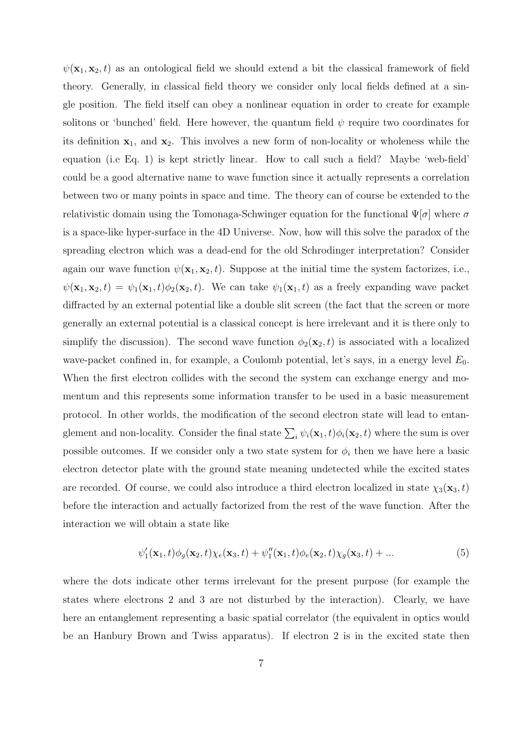$\psi(\mathbf{x}_1, \mathbf{x}_2, t)$  as an ontological field we should extend a bit the classical framework of field theory. Generally, in classical field theory we consider only local fields defined at a single position. The field itself can obey a nonlinear equation in order to create for example solitons or 'bunched' field. Here however, the quantum field  $\psi$  require two coordinates for its definition  $x_1$ , and  $x_2$ . This involves a new form of non-locality or wholeness while the equation (i.e Eq. 1) is kept strictly linear. How to call such a field? Maybe 'web-field' could be a good alternative name to wave function since it actually represents a correlation between two or many points in space and time. The theory can of course be extended to the relativistic domain using the Tomonaga-Schwinger equation for the functional  $\Psi[\sigma]$  where  $\sigma$ is a space-like hyper-surface in the 4D Universe. Now, how will this solve the paradox of the spreading electron which was a dead-end for the old Schrodinger interpretation? Consider again our wave function  $\psi(\mathbf{x}_1, \mathbf{x}_2, t)$ . Suppose at the initial time the system factorizes, i.e.,  $\psi(\mathbf{x}_1, \mathbf{x}_2, t) = \psi_1(\mathbf{x}_1, t) \phi_2(\mathbf{x}_2, t)$ . We can take  $\psi_1(\mathbf{x}_1, t)$  as a freely expanding wave packet diffracted by an external potential like a double slit screen (the fact that the screen or more generally an external potential is a classical concept is here irrelevant and it is there only to simplify the discussion). The second wave function  $\phi_2(\mathbf{x}_2, t)$  is associated with a localized wave-packet confined in, for example, a Coulomb potential, let's says, in a energy level  $E_0$ . When the first electron collides with the second the system can exchange energy and momentum and this represents some information transfer to be used in a basic measurement protocol. In other worlds, the modification of the second electron state will lead to entanglement and non-locality. Consider the final state  $\sum_i \psi_i(\mathbf{x}_1, t) \phi_i(\mathbf{x}_2, t)$  where the sum is over possible outcomes. If we consider only a two state system for  $\phi_i$  then we have here a basic electron detector plate with the ground state meaning undetected while the excited states are recorded. Of course, we could also introduce a third electron localized in state  $\chi_3(\mathbf{x}_3, t)$ before the interaction and actually factorized from the rest of the wave function. After the interaction we will obtain a state like

$$
\psi_1'(\mathbf{x}_1, t)\phi_g(\mathbf{x}_2, t)\chi_e(\mathbf{x}_3, t) + \psi_1''(\mathbf{x}_1, t)\phi_e(\mathbf{x}_2, t)\chi_g(\mathbf{x}_3, t) + \dots
$$
\n(5)

where the dots indicate other terms irrelevant for the present purpose (for example the states where electrons 2 and 3 are not disturbed by the interaction). Clearly, we have here an entanglement representing a basic spatial correlator (the equivalent in optics would be an Hanbury Brown and Twiss apparatus). If electron 2 is in the excited state then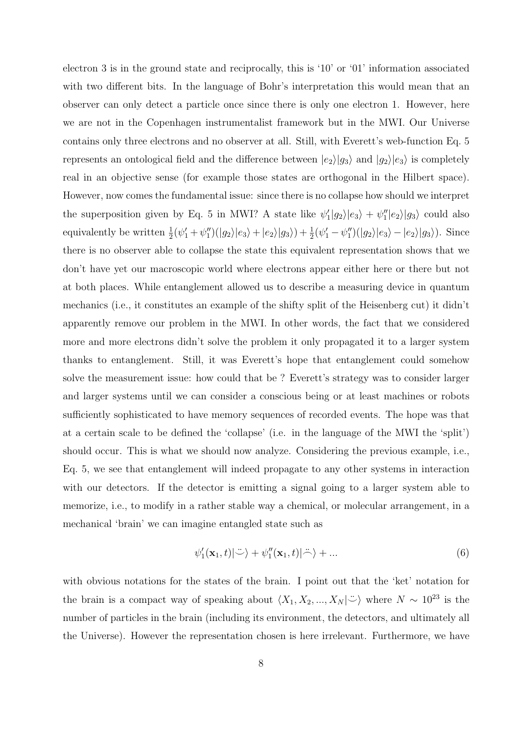electron 3 is in the ground state and reciprocally, this is '10' or '01' information associated with two different bits. In the language of Bohr's interpretation this would mean that an observer can only detect a particle once since there is only one electron 1. However, here we are not in the Copenhagen instrumentalist framework but in the MWI. Our Universe contains only three electrons and no observer at all. Still, with Everett's web-function Eq. 5 represents an ontological field and the difference between  $|e_2\rangle|g_3\rangle$  and  $|g_2\rangle|e_3\rangle$  is completely real in an objective sense (for example those states are orthogonal in the Hilbert space). However, now comes the fundamental issue: since there is no collapse how should we interpret the superposition given by Eq. 5 in MWI? A state like  $\psi'_1|g_2\rangle|e_3\rangle + \psi''_1|e_2\rangle|g_3\rangle$  could also equivalently be written  $\frac{1}{2}(\psi_1' + \psi_1'')(|g_2\rangle|e_3\rangle + |e_2\rangle|g_3\rangle) + \frac{1}{2}(\psi_1' - \psi_1'')(|g_2\rangle|e_3\rangle - |e_2\rangle|g_3\rangle)$ . Since there is no observer able to collapse the state this equivalent representation shows that we don't have yet our macroscopic world where electrons appear either here or there but not at both places. While entanglement allowed us to describe a measuring device in quantum mechanics (i.e., it constitutes an example of the shifty split of the Heisenberg cut) it didn't apparently remove our problem in the MWI. In other words, the fact that we considered more and more electrons didn't solve the problem it only propagated it to a larger system thanks to entanglement. Still, it was Everett's hope that entanglement could somehow solve the measurement issue: how could that be ? Everett's strategy was to consider larger and larger systems until we can consider a conscious being or at least machines or robots sufficiently sophisticated to have memory sequences of recorded events. The hope was that at a certain scale to be defined the 'collapse' (i.e. in the language of the MWI the 'split') should occur. This is what we should now analyze. Considering the previous example, i.e., Eq. 5, we see that entanglement will indeed propagate to any other systems in interaction with our detectors. If the detector is emitting a signal going to a larger system able to memorize, i.e., to modify in a rather stable way a chemical, or molecular arrangement, in a mechanical 'brain' we can imagine entangled state such as

$$
\psi_1'(\mathbf{x}_1, t) | \ddot{\cdot} \rangle + \psi_1''(\mathbf{x}_1, t) | \ddot{\cdot} \rangle + \dots \tag{6}
$$

with obvious notations for the states of the brain. I point out that the 'ket' notation for the brain is a compact way of speaking about  $\langle X_1, X_2, ..., X_N | \ddot{\cup} \rangle$  where  $N \sim 10^{23}$  is the number of particles in the brain (including its environment, the detectors, and ultimately all the Universe). However the representation chosen is here irrelevant. Furthermore, we have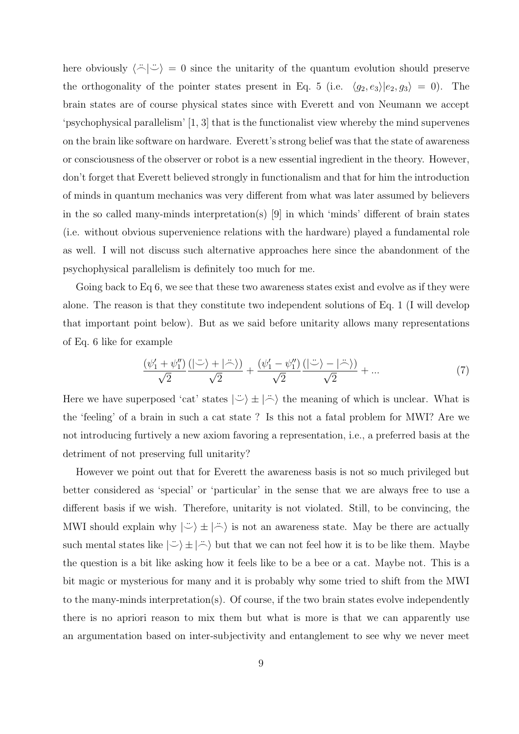here obviously  $\langle \tilde{\neg} | \tilde{\neg} \rangle = 0$  since the unitarity of the quantum evolution should preserve the orthogonality of the pointer states present in Eq. 5 (i.e.  $\langle g_2, e_3 \rangle |e_2, g_3 \rangle = 0$ ). The brain states are of course physical states since with Everett and von Neumann we accept 'psychophysical parallelism' [1, 3] that is the functionalist view whereby the mind supervenes on the brain like software on hardware. Everett's strong belief was that the state of awareness or consciousness of the observer or robot is a new essential ingredient in the theory. However, don't forget that Everett believed strongly in functionalism and that for him the introduction of minds in quantum mechanics was very different from what was later assumed by believers in the so called many-minds interpretation(s) [9] in which 'minds' different of brain states (i.e. without obvious supervenience relations with the hardware) played a fundamental role as well. I will not discuss such alternative approaches here since the abandonment of the psychophysical parallelism is definitely too much for me.

Going back to Eq 6, we see that these two awareness states exist and evolve as if they were alone. The reason is that they constitute two independent solutions of Eq. 1 (I will develop that important point below). But as we said before unitarity allows many representations of Eq. 6 like for example

$$
\frac{\left(\psi_1'+\psi_1''\right)\left(\left|\ddot{\smile}\right\rangle+\left|\ddot{\smile}\right\rangle\right)}{\sqrt{2}}+\frac{\left(\psi_1'-\psi_1''\right)\left(\left|\ddot{\smile}\right\rangle-\left|\ddot{\smile}\right\rangle\right)}{\sqrt{2}}+...\tag{7}
$$

Here we have superposed 'cat' states  $|\ddot{\psi}\rangle \pm |\ddot{\psi}\rangle$  the meaning of which is unclear. What is the 'feeling' of a brain in such a cat state ? Is this not a fatal problem for MWI? Are we not introducing furtively a new axiom favoring a representation, i.e., a preferred basis at the detriment of not preserving full unitarity?

However we point out that for Everett the awareness basis is not so much privileged but better considered as 'special' or 'particular' in the sense that we are always free to use a different basis if we wish. Therefore, unitarity is not violated. Still, to be convincing, the MWI should explain why  $|\psi\rangle \pm |\psi\rangle$  is not an awareness state. May be there are actually such mental states like  $|\ddot{\psi}\rangle \pm |\ddot{\phi}\rangle$  but that we can not feel how it is to be like them. Maybe the question is a bit like asking how it feels like to be a bee or a cat. Maybe not. This is a bit magic or mysterious for many and it is probably why some tried to shift from the MWI to the many-minds interpretation(s). Of course, if the two brain states evolve independently there is no apriori reason to mix them but what is more is that we can apparently use an argumentation based on inter-subjectivity and entanglement to see why we never meet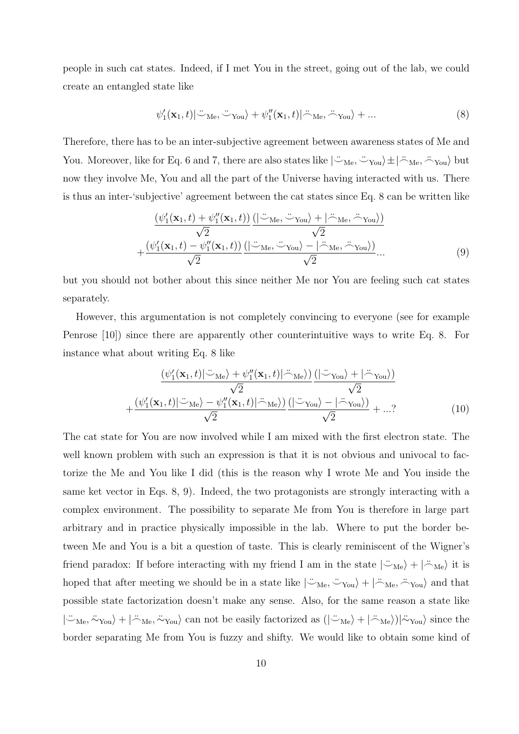people in such cat states. Indeed, if I met You in the street, going out of the lab, we could create an entangled state like

$$
\psi_1'(\mathbf{x}_1, t) | \ddot{\sim}_{\text{Me}} \mathbf{v}_{\text{You}} \rangle + \psi_1''(\mathbf{x}_1, t) | \ddot{\sim}_{\text{Me}} \mathbf{v}_{\text{You}} \rangle + \dots \tag{8}
$$

Therefore, there has to be an inter-subjective agreement between awareness states of Me and You. Moreover, like for Eq. 6 and 7, there are also states like  $|\ddot{\sim}_{Me}, \ddot{\sim}_{You}\rangle \pm |\ddot{\sim}_{Me}, \ddot{\sim}_{You}\rangle$  but now they involve Me, You and all the part of the Universe having interacted with us. There is thus an inter-'subjective' agreement between the cat states since Eq. 8 can be written like

$$
\frac{\left(\psi_1'(\mathbf{x}_1,t) + \psi_1''(\mathbf{x}_1,t)\right) \left(\left|\frac{\partial \psi_1(\mathbf{x}_1,t) + \phi_1''(\mathbf{x}_1,t)}{\sqrt{2}}\right)\right)}{\sqrt{2}} + \frac{\left(\psi_1'(\mathbf{x}_1,t) - \psi_1''(\mathbf{x}_1,t)\right) \left(\left|\frac{\partial \psi_1(\mathbf{x}_1,t) - \phi_1''(\mathbf{x}_1,t)}{\sqrt{2}}\right|\right)}{\sqrt{2}} \dots
$$
\n(9)

but you should not bother about this since neither Me nor You are feeling such cat states separately.

However, this argumentation is not completely convincing to everyone (see for example Penrose [10]) since there are apparently other counterintuitive ways to write Eq. 8. For instance what about writing Eq. 8 like

$$
\frac{\left(\psi_1'(\mathbf{x}_1,t)|\ddot{\mathbf{v}}_{\text{Me}}\right) + \psi_1''(\mathbf{x}_1,t)|\ddot{\mathbf{v}}_{\text{Me}}\right)\left(|\ddot{\mathbf{v}}_{\text{You}}\rangle + |\ddot{\mathbf{v}}_{\text{You}}\rangle\right)}{\sqrt{2}} + \frac{\left(\psi_1'(\mathbf{x}_1,t)|\ddot{\mathbf{v}}_{\text{Me}}\right) - \psi_1''(\mathbf{x}_1,t)|\ddot{\mathbf{v}}_{\text{Me}}\rangle\left(|\ddot{\mathbf{v}}_{\text{You}}\rangle - |\ddot{\mathbf{v}}_{\text{You}}\rangle\right)}{\sqrt{2}} + \dots?
$$
\n(10)

The cat state for You are now involved while I am mixed with the first electron state. The well known problem with such an expression is that it is not obvious and univocal to factorize the Me and You like I did (this is the reason why I wrote Me and You inside the same ket vector in Eqs. 8, 9). Indeed, the two protagonists are strongly interacting with a complex environment. The possibility to separate Me from You is therefore in large part arbitrary and in practice physically impossible in the lab. Where to put the border between Me and You is a bit a question of taste. This is clearly reminiscent of the Wigner's friend paradox: If before interacting with my friend I am in the state  $|\ddot{\sim}_{Me}\rangle + |\ddot{\sim}_{Me}\rangle$  it is hoped that after meeting we should be in a state like  $|\negthinspace \ddot{\negthinspace} \negthinspace \cdots \negthinspace \ddot{\negthinspace} \cdot \negthinspace \cdots \negthinspace \cdots \negthinspace \cdot \negthinspace \cdot \negthinspace \cdot \negthinspace \cdots \negthinspace \cdot \negthinspace \cdot \negthinspace \cdot \negthinspace \cdot \negthinspace \cdot \negthinspace \cdots \negthinspace \cdot \negthinspace \cdot \negthinspace \cdot \negthinspace \cdot \negthinspace \cdot \negthinspace \cdot \negthinspace \cdots \negthinspace \cdot \negthinspace \cdot \neg$ possible state factorization doesn't make any sense. Also, for the same reason a state like  $|\ddot{\sim}_{\text{Me}}, \ddot{\sim}_{\text{You}}\rangle + |\ddot{\sim}_{\text{Me}}, \ddot{\sim}_{\text{You}}\rangle$  can not be easily factorized as  $(|\ddot{\sim}_{\text{Me}}\rangle + |\ddot{\sim}_{\text{Me}}\rangle)|\ddot{\sim}_{\text{You}}\rangle$  since the border separating Me from You is fuzzy and shifty. We would like to obtain some kind of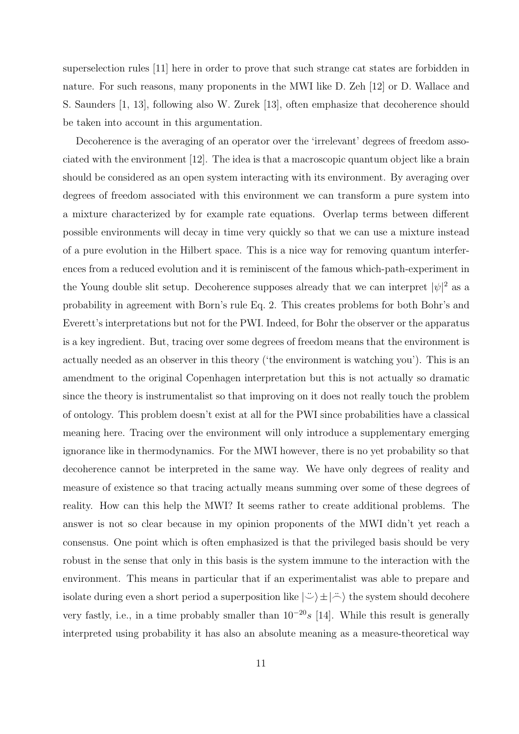superselection rules [11] here in order to prove that such strange cat states are forbidden in nature. For such reasons, many proponents in the MWI like D. Zeh [12] or D. Wallace and S. Saunders [1, 13], following also W. Zurek [13], often emphasize that decoherence should be taken into account in this argumentation.

Decoherence is the averaging of an operator over the 'irrelevant' degrees of freedom associated with the environment [12]. The idea is that a macroscopic quantum object like a brain should be considered as an open system interacting with its environment. By averaging over degrees of freedom associated with this environment we can transform a pure system into a mixture characterized by for example rate equations. Overlap terms between different possible environments will decay in time very quickly so that we can use a mixture instead of a pure evolution in the Hilbert space. This is a nice way for removing quantum interferences from a reduced evolution and it is reminiscent of the famous which-path-experiment in the Young double slit setup. Decoherence supposes already that we can interpret  $|\psi|^2$  as a probability in agreement with Born's rule Eq. 2. This creates problems for both Bohr's and Everett's interpretations but not for the PWI. Indeed, for Bohr the observer or the apparatus is a key ingredient. But, tracing over some degrees of freedom means that the environment is actually needed as an observer in this theory ('the environment is watching you'). This is an amendment to the original Copenhagen interpretation but this is not actually so dramatic since the theory is instrumentalist so that improving on it does not really touch the problem of ontology. This problem doesn't exist at all for the PWI since probabilities have a classical meaning here. Tracing over the environment will only introduce a supplementary emerging ignorance like in thermodynamics. For the MWI however, there is no yet probability so that decoherence cannot be interpreted in the same way. We have only degrees of reality and measure of existence so that tracing actually means summing over some of these degrees of reality. How can this help the MWI? It seems rather to create additional problems. The answer is not so clear because in my opinion proponents of the MWI didn't yet reach a consensus. One point which is often emphasized is that the privileged basis should be very robust in the sense that only in this basis is the system immune to the interaction with the environment. This means in particular that if an experimentalist was able to prepare and isolate during even a short period a superposition like  $|\ddot{\psi}\rangle \pm |\ddot{\psi}\rangle$  the system should decohere very fastly, i.e., in a time probably smaller than  $10^{-20}$ s [14]. While this result is generally interpreted using probability it has also an absolute meaning as a measure-theoretical way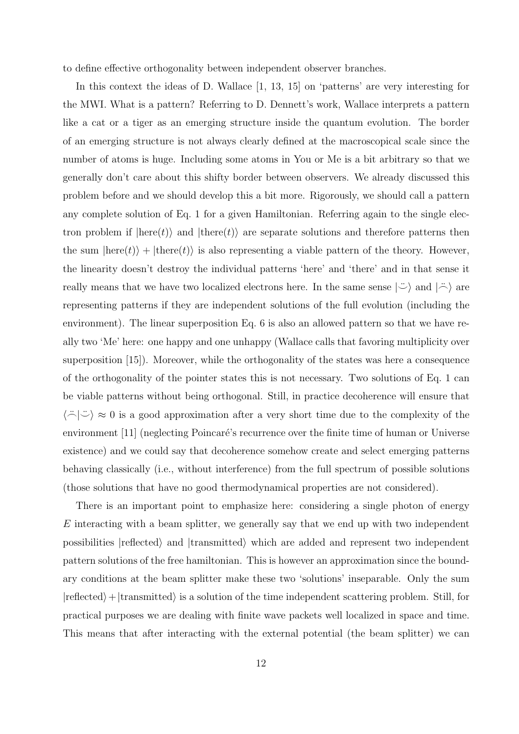to define effective orthogonality between independent observer branches.

In this context the ideas of D. Wallace [1, 13, 15] on 'patterns' are very interesting for the MWI. What is a pattern? Referring to D. Dennett's work, Wallace interprets a pattern like a cat or a tiger as an emerging structure inside the quantum evolution. The border of an emerging structure is not always clearly defined at the macroscopical scale since the number of atoms is huge. Including some atoms in You or Me is a bit arbitrary so that we generally don't care about this shifty border between observers. We already discussed this problem before and we should develop this a bit more. Rigorously, we should call a pattern any complete solution of Eq. 1 for a given Hamiltonian. Referring again to the single electron problem if  $|here(t)\rangle$  and  $|there(t)\rangle$  are separate solutions and therefore patterns then the sum  $\ket{\text{here}(t)}$  +  $\ket{\text{there}(t)}$  is also representing a viable pattern of the theory. However, the linearity doesn't destroy the individual patterns 'here' and 'there' and in that sense it really means that we have two localized electrons here. In the same sense  $|\ddot{\circ}\rangle$  and  $|\ddot{\circ}\rangle$  are representing patterns if they are independent solutions of the full evolution (including the environment). The linear superposition Eq. 6 is also an allowed pattern so that we have really two 'Me' here: one happy and one unhappy (Wallace calls that favoring multiplicity over superposition [15]). Moreover, while the orthogonality of the states was here a consequence of the orthogonality of the pointer states this is not necessary. Two solutions of Eq. 1 can be viable patterns without being orthogonal. Still, in practice decoherence will ensure that  $\langle \tilde{\neg} | \tilde{\neg} \rangle \approx 0$  is a good approximation after a very short time due to the complexity of the environment [11] (neglecting Poincaré's recurrence over the finite time of human or Universe existence) and we could say that decoherence somehow create and select emerging patterns behaving classically (i.e., without interference) from the full spectrum of possible solutions (those solutions that have no good thermodynamical properties are not considered).

There is an important point to emphasize here: considering a single photon of energy  $E$  interacting with a beam splitter, we generally say that we end up with two independent possibilities  $|reflected\rangle$  and  $|transmitted\rangle$  which are added and represent two independent pattern solutions of the free hamiltonian. This is however an approximation since the boundary conditions at the beam splitter make these two 'solutions' inseparable. Only the sum  $|reflected\rangle+|transmitted\rangle$  is a solution of the time independent scattering problem. Still, for practical purposes we are dealing with finite wave packets well localized in space and time. This means that after interacting with the external potential (the beam splitter) we can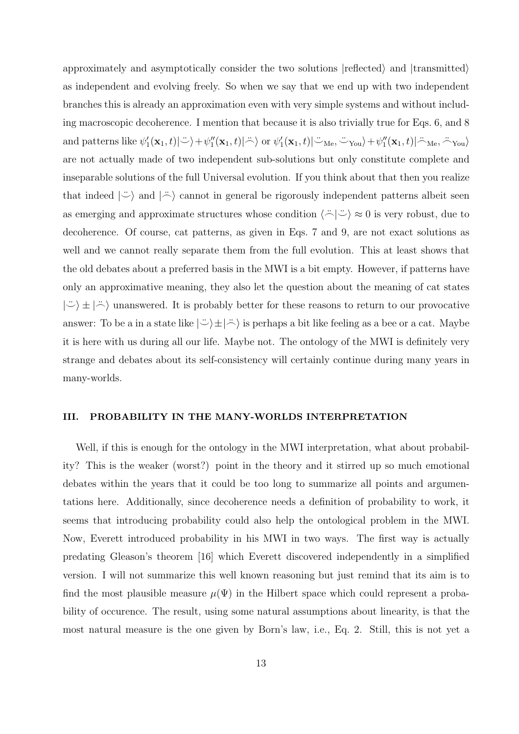approximately and asymptotically consider the two solutions  $|{\rm reflected}\rangle$  and  $|{\rm transmitted}\rangle$ as independent and evolving freely. So when we say that we end up with two independent branches this is already an approximation even with very simple systems and without including macroscopic decoherence. I mention that because it is also trivially true for Eqs. 6, and 8 and patterns like  $\psi'_1(\mathbf{x}_1,t)|\ddot{\sim}\rangle + \psi''_1(\mathbf{x}_1,t)|\ddot{\sim}\rangle$  or  $\psi'_1(\mathbf{x}_1,t)|\ddot{\sim}_{\text{Me}}, \ddot{\sim}_{\text{You}}\rangle + \psi''_1(\mathbf{x}_1,t)|\ddot{\sim}_{\text{Me}}, \ddot{\sim}_{\text{You}}\rangle$ are not actually made of two independent sub-solutions but only constitute complete and inseparable solutions of the full Universal evolution. If you think about that then you realize that indeed  $|\ddot{\circ}\rangle$  and  $|\ddot{\circ}\rangle$  cannot in general be rigorously independent patterns albeit seen as emerging and approximate structures whose condition  $\langle \stackrel{\sim}{\sim} | \stackrel{\sim}{\sim} \rangle \approx 0$  is very robust, due to decoherence. Of course, cat patterns, as given in Eqs. 7 and 9, are not exact solutions as well and we cannot really separate them from the full evolution. This at least shows that the old debates about a preferred basis in the MWI is a bit empty. However, if patterns have only an approximative meaning, they also let the question about the meaning of cat states  $|\ddot{\psi}\rangle \pm |\ddot{\phi}\rangle$  unanswered. It is probably better for these reasons to return to our provocative answer: To be a in a state like  $|\ddot{\circ}\rangle \pm |\ddot{\circ}\rangle$  is perhaps a bit like feeling as a bee or a cat. Maybe it is here with us during all our life. Maybe not. The ontology of the MWI is definitely very strange and debates about its self-consistency will certainly continue during many years in many-worlds.

### III. PROBABILITY IN THE MANY-WORLDS INTERPRETATION

Well, if this is enough for the ontology in the MWI interpretation, what about probability? This is the weaker (worst?) point in the theory and it stirred up so much emotional debates within the years that it could be too long to summarize all points and argumentations here. Additionally, since decoherence needs a definition of probability to work, it seems that introducing probability could also help the ontological problem in the MWI. Now, Everett introduced probability in his MWI in two ways. The first way is actually predating Gleason's theorem [16] which Everett discovered independently in a simplified version. I will not summarize this well known reasoning but just remind that its aim is to find the most plausible measure  $\mu(\Psi)$  in the Hilbert space which could represent a probability of occurence. The result, using some natural assumptions about linearity, is that the most natural measure is the one given by Born's law, i.e., Eq. 2. Still, this is not yet a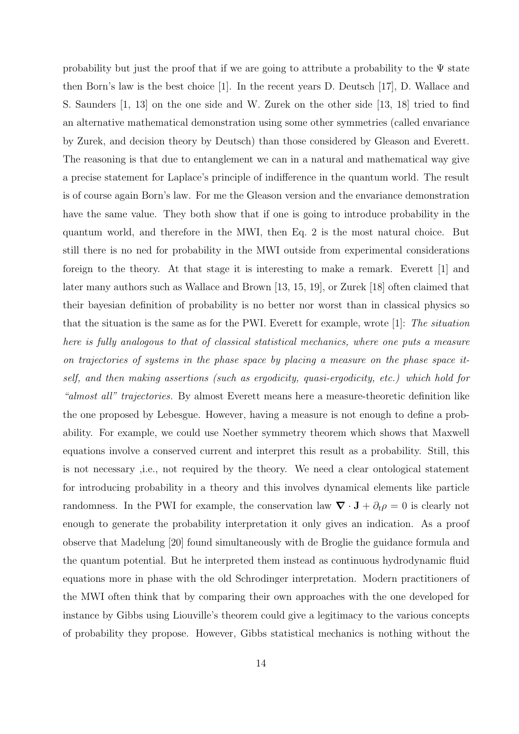probability but just the proof that if we are going to attribute a probability to the  $\Psi$  state then Born's law is the best choice [1]. In the recent years D. Deutsch [17], D. Wallace and S. Saunders [1, 13] on the one side and W. Zurek on the other side [13, 18] tried to find an alternative mathematical demonstration using some other symmetries (called envariance by Zurek, and decision theory by Deutsch) than those considered by Gleason and Everett. The reasoning is that due to entanglement we can in a natural and mathematical way give a precise statement for Laplace's principle of indifference in the quantum world. The result is of course again Born's law. For me the Gleason version and the envariance demonstration have the same value. They both show that if one is going to introduce probability in the quantum world, and therefore in the MWI, then Eq. 2 is the most natural choice. But still there is no ned for probability in the MWI outside from experimental considerations foreign to the theory. At that stage it is interesting to make a remark. Everett [1] and later many authors such as Wallace and Brown [13, 15, 19], or Zurek [18] often claimed that their bayesian definition of probability is no better nor worst than in classical physics so that the situation is the same as for the PWI. Everett for example, wrote [1]: *The situation here is fully analogous to that of classical statistical mechanics, where one puts a measure on trajectories of systems in the phase space by placing a measure on the phase space itself, and then making assertions (such as ergodicity, quasi-ergodicity, etc.) which hold for "almost all" trajectories.* By almost Everett means here a measure-theoretic definition like the one proposed by Lebesgue. However, having a measure is not enough to define a probability. For example, we could use Noether symmetry theorem which shows that Maxwell equations involve a conserved current and interpret this result as a probability. Still, this is not necessary ,i.e., not required by the theory. We need a clear ontological statement for introducing probability in a theory and this involves dynamical elements like particle randomness. In the PWI for example, the conservation law  $\nabla \cdot \mathbf{J} + \partial_t \rho = 0$  is clearly not enough to generate the probability interpretation it only gives an indication. As a proof observe that Madelung [20] found simultaneously with de Broglie the guidance formula and the quantum potential. But he interpreted them instead as continuous hydrodynamic fluid equations more in phase with the old Schrodinger interpretation. Modern practitioners of the MWI often think that by comparing their own approaches with the one developed for instance by Gibbs using Liouville's theorem could give a legitimacy to the various concepts of probability they propose. However, Gibbs statistical mechanics is nothing without the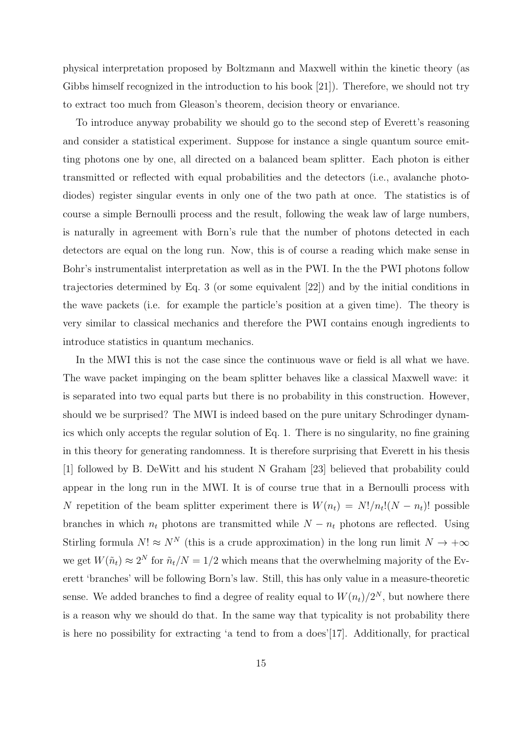physical interpretation proposed by Boltzmann and Maxwell within the kinetic theory (as Gibbs himself recognized in the introduction to his book [21]). Therefore, we should not try to extract too much from Gleason's theorem, decision theory or envariance.

To introduce anyway probability we should go to the second step of Everett's reasoning and consider a statistical experiment. Suppose for instance a single quantum source emitting photons one by one, all directed on a balanced beam splitter. Each photon is either transmitted or reflected with equal probabilities and the detectors (i.e., avalanche photodiodes) register singular events in only one of the two path at once. The statistics is of course a simple Bernoulli process and the result, following the weak law of large numbers, is naturally in agreement with Born's rule that the number of photons detected in each detectors are equal on the long run. Now, this is of course a reading which make sense in Bohr's instrumentalist interpretation as well as in the PWI. In the the PWI photons follow trajectories determined by Eq. 3 (or some equivalent [22]) and by the initial conditions in the wave packets (i.e. for example the particle's position at a given time). The theory is very similar to classical mechanics and therefore the PWI contains enough ingredients to introduce statistics in quantum mechanics.

In the MWI this is not the case since the continuous wave or field is all what we have. The wave packet impinging on the beam splitter behaves like a classical Maxwell wave: it is separated into two equal parts but there is no probability in this construction. However, should we be surprised? The MWI is indeed based on the pure unitary Schrodinger dynamics which only accepts the regular solution of Eq. 1. There is no singularity, no fine graining in this theory for generating randomness. It is therefore surprising that Everett in his thesis [1] followed by B. DeWitt and his student N Graham [23] believed that probability could appear in the long run in the MWI. It is of course true that in a Bernoulli process with N repetition of the beam splitter experiment there is  $W(n_t) = N!/n_t!(N - n_t)!$  possible branches in which  $n_t$  photons are transmitted while  $N - n_t$  photons are reflected. Using Stirling formula  $N! \approx N^N$  (this is a crude approximation) in the long run limit  $N \to +\infty$ we get  $W(\tilde{n}_t) \approx 2^N$  for  $\tilde{n}_t/N = 1/2$  which means that the overwhelming majority of the Everett 'branches' will be following Born's law. Still, this has only value in a measure-theoretic sense. We added branches to find a degree of reality equal to  $W(n_t)/2^N$ , but nowhere there is a reason why we should do that. In the same way that typicality is not probability there is here no possibility for extracting 'a tend to from a does'[17]. Additionally, for practical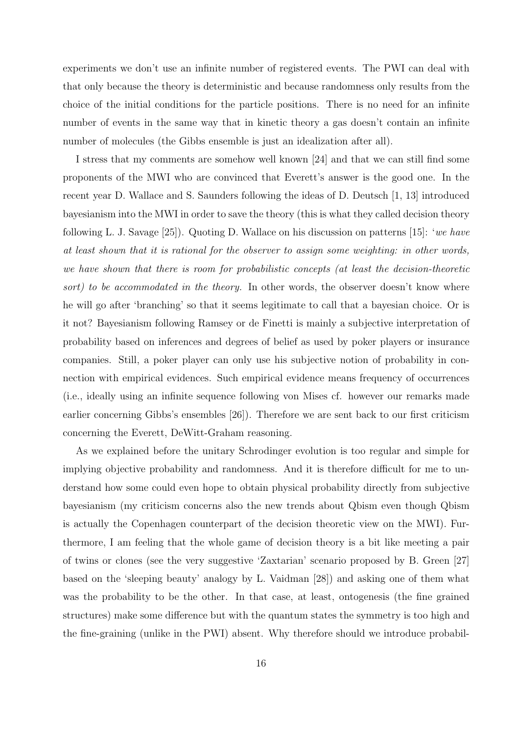experiments we don't use an infinite number of registered events. The PWI can deal with that only because the theory is deterministic and because randomness only results from the choice of the initial conditions for the particle positions. There is no need for an infinite number of events in the same way that in kinetic theory a gas doesn't contain an infinite number of molecules (the Gibbs ensemble is just an idealization after all).

I stress that my comments are somehow well known [24] and that we can still find some proponents of the MWI who are convinced that Everett's answer is the good one. In the recent year D. Wallace and S. Saunders following the ideas of D. Deutsch [1, 13] introduced bayesianism into the MWI in order to save the theory (this is what they called decision theory following L. J. Savage [25]). Quoting D. Wallace on his discussion on patterns [15]: '*we have at least shown that it is rational for the observer to assign some weighting: in other words, we have shown that there is room for probabilistic concepts (at least the decision-theoretic sort) to be accommodated in the theory.* In other words, the observer doesn't know where he will go after 'branching' so that it seems legitimate to call that a bayesian choice. Or is it not? Bayesianism following Ramsey or de Finetti is mainly a subjective interpretation of probability based on inferences and degrees of belief as used by poker players or insurance companies. Still, a poker player can only use his subjective notion of probability in connection with empirical evidences. Such empirical evidence means frequency of occurrences (i.e., ideally using an infinite sequence following von Mises cf. however our remarks made earlier concerning Gibbs's ensembles [26]). Therefore we are sent back to our first criticism concerning the Everett, DeWitt-Graham reasoning.

As we explained before the unitary Schrodinger evolution is too regular and simple for implying objective probability and randomness. And it is therefore difficult for me to understand how some could even hope to obtain physical probability directly from subjective bayesianism (my criticism concerns also the new trends about Qbism even though Qbism is actually the Copenhagen counterpart of the decision theoretic view on the MWI). Furthermore, I am feeling that the whole game of decision theory is a bit like meeting a pair of twins or clones (see the very suggestive 'Zaxtarian' scenario proposed by B. Green [27] based on the 'sleeping beauty' analogy by L. Vaidman [28]) and asking one of them what was the probability to be the other. In that case, at least, ontogenesis (the fine grained structures) make some difference but with the quantum states the symmetry is too high and the fine-graining (unlike in the PWI) absent. Why therefore should we introduce probabil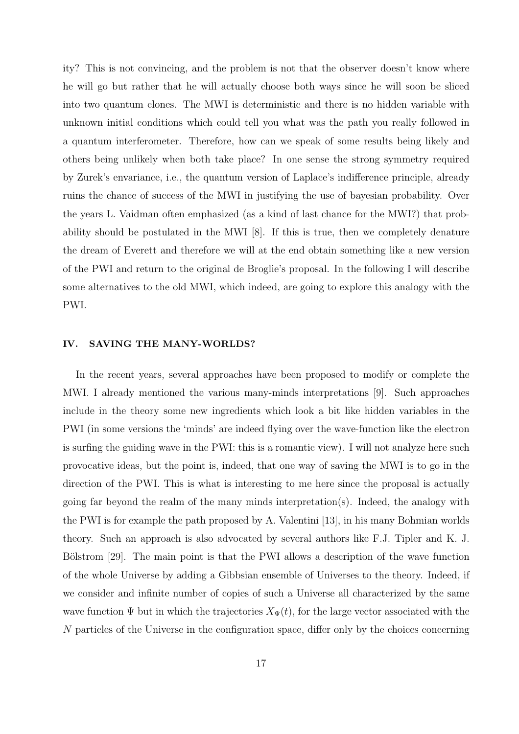ity? This is not convincing, and the problem is not that the observer doesn't know where he will go but rather that he will actually choose both ways since he will soon be sliced into two quantum clones. The MWI is deterministic and there is no hidden variable with unknown initial conditions which could tell you what was the path you really followed in a quantum interferometer. Therefore, how can we speak of some results being likely and others being unlikely when both take place? In one sense the strong symmetry required by Zurek's envariance, i.e., the quantum version of Laplace's indifference principle, already ruins the chance of success of the MWI in justifying the use of bayesian probability. Over the years L. Vaidman often emphasized (as a kind of last chance for the MWI?) that probability should be postulated in the MWI [8]. If this is true, then we completely denature the dream of Everett and therefore we will at the end obtain something like a new version of the PWI and return to the original de Broglie's proposal. In the following I will describe some alternatives to the old MWI, which indeed, are going to explore this analogy with the PWI.

#### IV. SAVING THE MANY-WORLDS?

In the recent years, several approaches have been proposed to modify or complete the MWI. I already mentioned the various many-minds interpretations [9]. Such approaches include in the theory some new ingredients which look a bit like hidden variables in the PWI (in some versions the 'minds' are indeed flying over the wave-function like the electron is surfing the guiding wave in the PWI: this is a romantic view). I will not analyze here such provocative ideas, but the point is, indeed, that one way of saving the MWI is to go in the direction of the PWI. This is what is interesting to me here since the proposal is actually going far beyond the realm of the many minds interpretation(s). Indeed, the analogy with the PWI is for example the path proposed by A. Valentini [13], in his many Bohmian worlds theory. Such an approach is also advocated by several authors like F.J. Tipler and K. J. Bölstrom [29]. The main point is that the PWI allows a description of the wave function of the whole Universe by adding a Gibbsian ensemble of Universes to the theory. Indeed, if we consider and infinite number of copies of such a Universe all characterized by the same wave function  $\Psi$  but in which the trajectories  $X_{\Psi}(t)$ , for the large vector associated with the N particles of the Universe in the configuration space, differ only by the choices concerning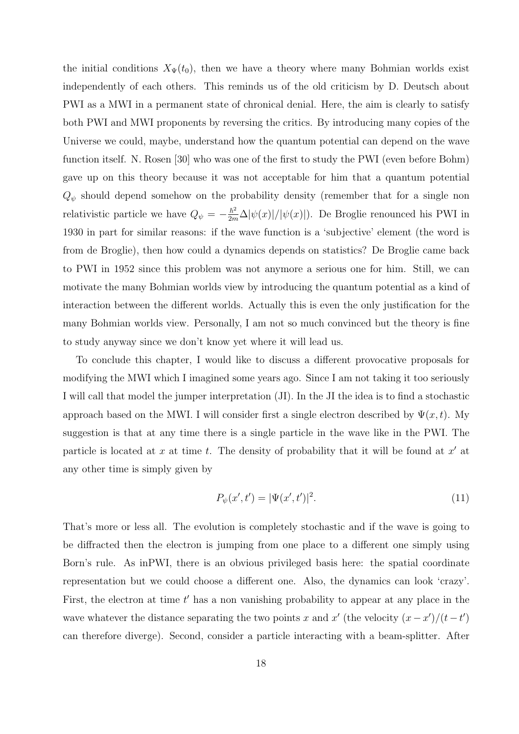the initial conditions  $X_{\Psi}(t_0)$ , then we have a theory where many Bohmian worlds exist independently of each others. This reminds us of the old criticism by D. Deutsch about PWI as a MWI in a permanent state of chronical denial. Here, the aim is clearly to satisfy both PWI and MWI proponents by reversing the critics. By introducing many copies of the Universe we could, maybe, understand how the quantum potential can depend on the wave function itself. N. Rosen [30] who was one of the first to study the PWI (even before Bohm) gave up on this theory because it was not acceptable for him that a quantum potential  $Q_{\psi}$  should depend somehow on the probability density (remember that for a single non relativistic particle we have  $Q_{\psi} = -\frac{\hbar^2}{2m}\Delta |\psi(x)|/|\psi(x)|$ ). De Broglie renounced his PWI in 1930 in part for similar reasons: if the wave function is a 'subjective' element (the word is from de Broglie), then how could a dynamics depends on statistics? De Broglie came back to PWI in 1952 since this problem was not anymore a serious one for him. Still, we can motivate the many Bohmian worlds view by introducing the quantum potential as a kind of interaction between the different worlds. Actually this is even the only justification for the many Bohmian worlds view. Personally, I am not so much convinced but the theory is fine to study anyway since we don't know yet where it will lead us.

To conclude this chapter, I would like to discuss a different provocative proposals for modifying the MWI which I imagined some years ago. Since I am not taking it too seriously I will call that model the jumper interpretation (JI). In the JI the idea is to find a stochastic approach based on the MWI. I will consider first a single electron described by  $\Psi(x, t)$ . My suggestion is that at any time there is a single particle in the wave like in the PWI. The particle is located at x at time t. The density of probability that it will be found at  $x'$  at any other time is simply given by

$$
P_{\psi}(x',t') = |\Psi(x',t')|^{2}.
$$
\n(11)

That's more or less all. The evolution is completely stochastic and if the wave is going to be diffracted then the electron is jumping from one place to a different one simply using Born's rule. As inPWI, there is an obvious privileged basis here: the spatial coordinate representation but we could choose a different one. Also, the dynamics can look 'crazy'. First, the electron at time  $t'$  has a non vanishing probability to appear at any place in the wave whatever the distance separating the two points x and x' (the velocity  $(x - x')/(t - t')$ ) can therefore diverge). Second, consider a particle interacting with a beam-splitter. After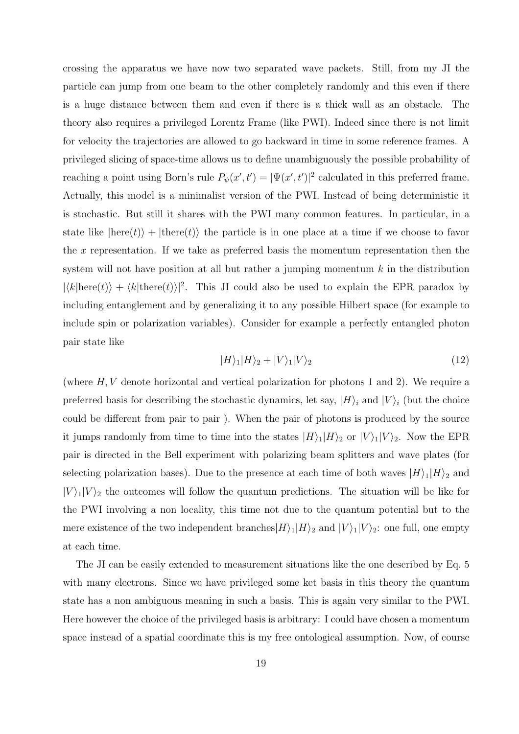crossing the apparatus we have now two separated wave packets. Still, from my JI the particle can jump from one beam to the other completely randomly and this even if there is a huge distance between them and even if there is a thick wall as an obstacle. The theory also requires a privileged Lorentz Frame (like PWI). Indeed since there is not limit for velocity the trajectories are allowed to go backward in time in some reference frames. A privileged slicing of space-time allows us to define unambiguously the possible probability of reaching a point using Born's rule  $P_{\psi}(x', t') = |\Psi(x', t')|^2$  calculated in this preferred frame. Actually, this model is a minimalist version of the PWI. Instead of being deterministic it is stochastic. But still it shares with the PWI many common features. In particular, in a state like  $\ket{\text{here}(t)}$  +  $\ket{\text{there}(t)}$  the particle is in one place at a time if we choose to favor the  $x$  representation. If we take as preferred basis the momentum representation then the system will not have position at all but rather a jumping momentum  $k$  in the distribution  $|\langle k|\text{here}(t)\rangle + \langle k|\text{there}(t)\rangle|^2$ . This JI could also be used to explain the EPR paradox by including entanglement and by generalizing it to any possible Hilbert space (for example to include spin or polarization variables). Consider for example a perfectly entangled photon pair state like

$$
|H\rangle_1|H\rangle_2 + |V\rangle_1|V\rangle_2\tag{12}
$$

(where  $H, V$  denote horizontal and vertical polarization for photons 1 and 2). We require a preferred basis for describing the stochastic dynamics, let say,  $|H\rangle_i$  and  $|V\rangle_i$  (but the choice could be different from pair to pair ). When the pair of photons is produced by the source it jumps randomly from time to time into the states  $|H\rangle_1|H\rangle_2$  or  $|V\rangle_1|V\rangle_2$ . Now the EPR pair is directed in the Bell experiment with polarizing beam splitters and wave plates (for selecting polarization bases). Due to the presence at each time of both waves  $|H\rangle_1|H\rangle_2$  and  $|V\rangle_1|V\rangle_2$  the outcomes will follow the quantum predictions. The situation will be like for the PWI involving a non locality, this time not due to the quantum potential but to the mere existence of the two independent branches  $|H\rangle_1|H\rangle_2$  and  $|V\rangle_1|V\rangle_2$ : one full, one empty at each time.

The JI can be easily extended to measurement situations like the one described by Eq. 5 with many electrons. Since we have privileged some ket basis in this theory the quantum state has a non ambiguous meaning in such a basis. This is again very similar to the PWI. Here however the choice of the privileged basis is arbitrary: I could have chosen a momentum space instead of a spatial coordinate this is my free ontological assumption. Now, of course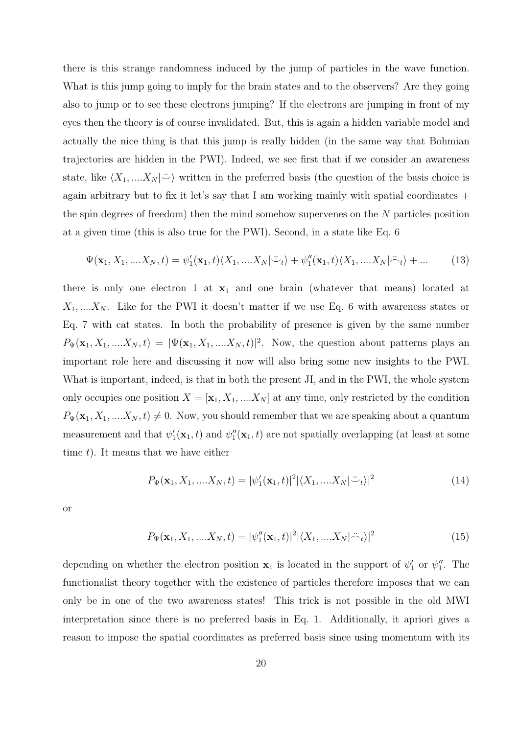there is this strange randomness induced by the jump of particles in the wave function. What is this jump going to imply for the brain states and to the observers? Are they going also to jump or to see these electrons jumping? If the electrons are jumping in front of my eyes then the theory is of course invalidated. But, this is again a hidden variable model and actually the nice thing is that this jump is really hidden (in the same way that Bohmian trajectories are hidden in the PWI). Indeed, we see first that if we consider an awareness state, like  $\langle X_1, \ldots, X_N | \ddot{\frown} \rangle$  written in the preferred basis (the question of the basis choice is again arbitrary but to fix it let's say that I am working mainly with spatial coordinates  $+$ the spin degrees of freedom) then the mind somehow supervenes on the N particles position at a given time (this is also true for the PWI). Second, in a state like Eq. 6

$$
\Psi(\mathbf{x}_1, X_1, \dots, X_N, t) = \psi_1'(\mathbf{x}_1, t) \langle X_1, \dots, X_N | \ddot{\psi}_t \rangle + \psi_1''(\mathbf{x}_1, t) \langle X_1, \dots, X_N | \ddot{\psi}_t \rangle + \dots \tag{13}
$$

there is only one electron 1 at  $x_1$  and one brain (whatever that means) located at  $X_1, \ldots, X_N$ . Like for the PWI it doesn't matter if we use Eq. 6 with awareness states or Eq. 7 with cat states. In both the probability of presence is given by the same number  $P_{\Psi}(\mathbf{x}_1, X_1, \dots, X_N, t) = |\Psi(\mathbf{x}_1, X_1, \dots, X_N, t)|^2$ . Now, the question about patterns plays an important role here and discussing it now will also bring some new insights to the PWI. What is important, indeed, is that in both the present JI, and in the PWI, the whole system only occupies one position  $X = [\mathbf{x}_1, X_1, ..., X_N]$  at any time, only restricted by the condition  $P_{\Psi}(\mathbf{x}_1, X_1, \dots, X_N, t) \neq 0$ . Now, you should remember that we are speaking about a quantum measurement and that  $\psi_1'(\mathbf{x}_1,t)$  and  $\psi_1''(\mathbf{x}_1,t)$  are not spatially overlapping (at least at some time  $t$ ). It means that we have either

$$
P_{\Psi}(\mathbf{x}_1, X_1, \dots, X_N, t) = |\psi_1'(\mathbf{x}_1, t)|^2 |\langle X_1, \dots, X_N | \ddot{\frown}_t \rangle|^2
$$
\n(14)

or

$$
P_{\Psi}(\mathbf{x}_1, X_1, \dots, X_N, t) = |\psi_1''(\mathbf{x}_1, t)|^2 |\langle X_1, \dots, X_N | \ddot{\neg}_t \rangle|^2
$$
\n(15)

depending on whether the electron position  $x_1$  is located in the support of  $\psi'_1$  or  $\psi''_1$ . The functionalist theory together with the existence of particles therefore imposes that we can only be in one of the two awareness states! This trick is not possible in the old MWI interpretation since there is no preferred basis in Eq. 1. Additionally, it apriori gives a reason to impose the spatial coordinates as preferred basis since using momentum with its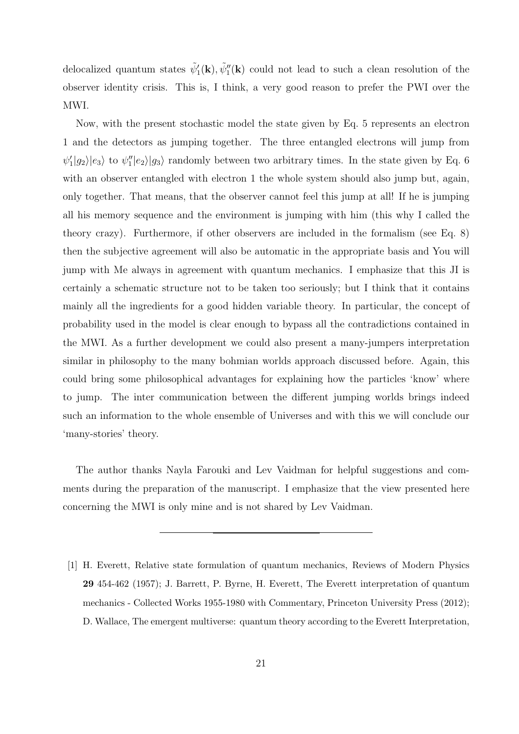delocalized quantum states  $\tilde{\psi}'_1(\mathbf{k}), \tilde{\psi}''_1(\mathbf{k})$  could not lead to such a clean resolution of the observer identity crisis. This is, I think, a very good reason to prefer the PWI over the MWI.

Now, with the present stochastic model the state given by Eq. 5 represents an electron 1 and the detectors as jumping together. The three entangled electrons will jump from  $\psi'_1|g_2\rangle|e_3\rangle$  to  $\psi''_1|e_2\rangle|g_3\rangle$  randomly between two arbitrary times. In the state given by Eq. 6 with an observer entangled with electron 1 the whole system should also jump but, again, only together. That means, that the observer cannot feel this jump at all! If he is jumping all his memory sequence and the environment is jumping with him (this why I called the theory crazy). Furthermore, if other observers are included in the formalism (see Eq. 8) then the subjective agreement will also be automatic in the appropriate basis and You will jump with Me always in agreement with quantum mechanics. I emphasize that this JI is certainly a schematic structure not to be taken too seriously; but I think that it contains mainly all the ingredients for a good hidden variable theory. In particular, the concept of probability used in the model is clear enough to bypass all the contradictions contained in the MWI. As a further development we could also present a many-jumpers interpretation similar in philosophy to the many bohmian worlds approach discussed before. Again, this could bring some philosophical advantages for explaining how the particles 'know' where to jump. The inter communication between the different jumping worlds brings indeed such an information to the whole ensemble of Universes and with this we will conclude our 'many-stories' theory.

The author thanks Nayla Farouki and Lev Vaidman for helpful suggestions and comments during the preparation of the manuscript. I emphasize that the view presented here concerning the MWI is only mine and is not shared by Lev Vaidman.

<sup>[1]</sup> H. Everett, Relative state formulation of quantum mechanics, Reviews of Modern Physics 29 454-462 (1957); J. Barrett, P. Byrne, H. Everett, The Everett interpretation of quantum mechanics - Collected Works 1955-1980 with Commentary, Princeton University Press (2012); D. Wallace, The emergent multiverse: quantum theory according to the Everett Interpretation,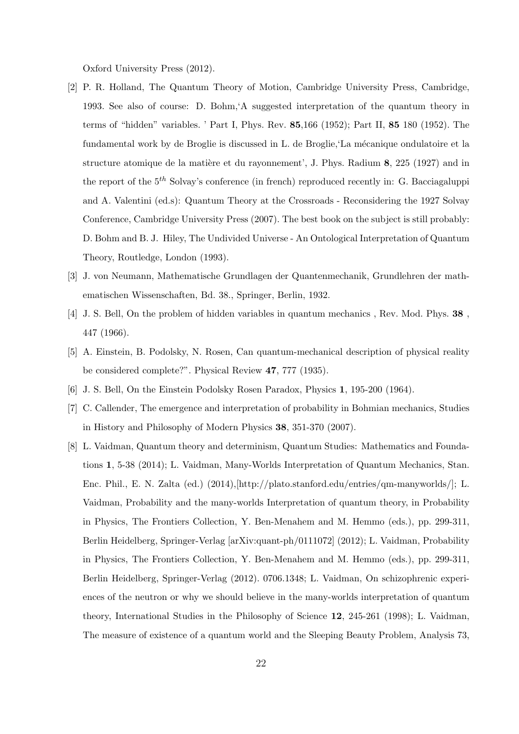Oxford University Press (2012).

- [2] P. R. Holland, The Quantum Theory of Motion, Cambridge University Press, Cambridge, 1993. See also of course: D. Bohm,'A suggested interpretation of the quantum theory in terms of "hidden" variables. ' Part I, Phys. Rev. 85,166 (1952); Part II, 85 180 (1952). The fundamental work by de Broglie is discussed in L. de Broglie, La mécanique ondulatoire et la structure atomique de la matière et du rayonnement', J. Phys. Radium  $\mathbf{8}, 225$  (1927) and in the report of the  $5<sup>th</sup>$  Solvay's conference (in french) reproduced recently in: G. Bacciagaluppi and A. Valentini (ed.s): Quantum Theory at the Crossroads - Reconsidering the 1927 Solvay Conference, Cambridge University Press (2007). The best book on the subject is still probably: D. Bohm and B. J. Hiley, The Undivided Universe - An Ontological Interpretation of Quantum Theory, Routledge, London (1993).
- [3] J. von Neumann, Mathematische Grundlagen der Quantenmechanik, Grundlehren der mathematischen Wissenschaften, Bd. 38., Springer, Berlin, 1932.
- [4] J. S. Bell, On the problem of hidden variables in quantum mechanics , Rev. Mod. Phys. 38 , 447 (1966).
- [5] A. Einstein, B. Podolsky, N. Rosen, Can quantum-mechanical description of physical reality be considered complete?". Physical Review 47, 777 (1935).
- [6] J. S. Bell, On the Einstein Podolsky Rosen Paradox, Physics 1, 195-200 (1964).
- [7] C. Callender, The emergence and interpretation of probability in Bohmian mechanics, Studies in History and Philosophy of Modern Physics 38, 351-370 (2007).
- [8] L. Vaidman, Quantum theory and determinism, Quantum Studies: Mathematics and Foundations 1, 5-38 (2014); L. Vaidman, Many-Worlds Interpretation of Quantum Mechanics, Stan. Enc. Phil., E. N. Zalta (ed.) (2014),[http://plato.stanford.edu/entries/qm-manyworlds/]; L. Vaidman, Probability and the many-worlds Interpretation of quantum theory, in Probability in Physics, The Frontiers Collection, Y. Ben-Menahem and M. Hemmo (eds.), pp. 299-311, Berlin Heidelberg, Springer-Verlag [arXiv:quant-ph/0111072] (2012); L. Vaidman, Probability in Physics, The Frontiers Collection, Y. Ben-Menahem and M. Hemmo (eds.), pp. 299-311, Berlin Heidelberg, Springer-Verlag (2012). 0706.1348; L. Vaidman, On schizophrenic experiences of the neutron or why we should believe in the many-worlds interpretation of quantum theory, International Studies in the Philosophy of Science 12, 245-261 (1998); L. Vaidman, The measure of existence of a quantum world and the Sleeping Beauty Problem, Analysis 73,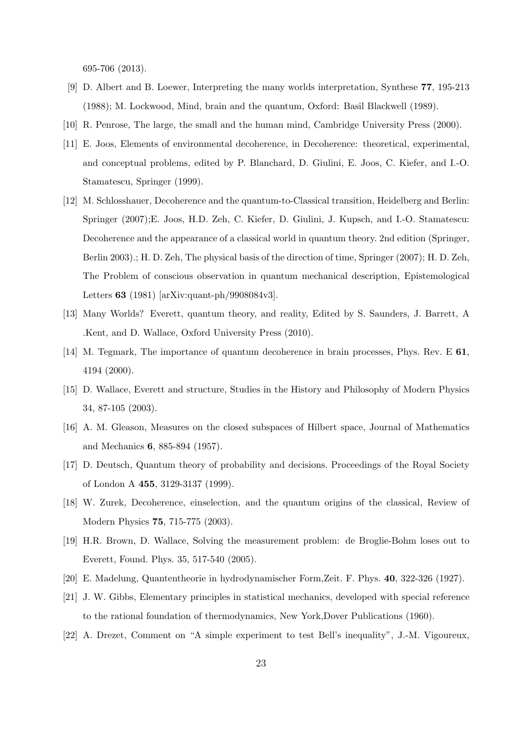695-706 (2013).

- [9] D. Albert and B. Loewer, Interpreting the many worlds interpretation, Synthese 77, 195-213 (1988); M. Lockwood, Mind, brain and the quantum, Oxford: Basil Blackwell (1989).
- [10] R. Penrose, The large, the small and the human mind, Cambridge University Press (2000).
- [11] E. Joos, Elements of environmental decoherence, in Decoherence: theoretical, experimental, and conceptual problems, edited by P. Blanchard, D. Giulini, E. Joos, C. Kiefer, and I.-O. Stamatescu, Springer (1999).
- [12] M. Schlosshauer, Decoherence and the quantum-to-Classical transition, Heidelberg and Berlin: Springer (2007);E. Joos, H.D. Zeh, C. Kiefer, D. Giulini, J. Kupsch, and I.-O. Stamatescu: Decoherence and the appearance of a classical world in quantum theory. 2nd edition (Springer, Berlin 2003).; H. D. Zeh, The physical basis of the direction of time, Springer (2007); H. D. Zeh, The Problem of conscious observation in quantum mechanical description, Epistemological Letters 63 (1981) [arXiv:quant-ph/9908084v3].
- [13] Many Worlds? Everett, quantum theory, and reality, Edited by S. Saunders, J. Barrett, A .Kent, and D. Wallace, Oxford University Press (2010).
- [14] M. Tegmark, The importance of quantum decoherence in brain processes, Phys. Rev. E 61, 4194 (2000).
- [15] D. Wallace, Everett and structure, Studies in the History and Philosophy of Modern Physics 34, 87-105 (2003).
- [16] A. M. Gleason, Measures on the closed subspaces of Hilbert space, Journal of Mathematics and Mechanics 6, 885-894 (1957).
- [17] D. Deutsch, Quantum theory of probability and decisions. Proceedings of the Royal Society of London A 455, 3129-3137 (1999).
- [18] W. Zurek, Decoherence, einselection, and the quantum origins of the classical, Review of Modern Physics 75, 715-775 (2003).
- [19] H.R. Brown, D. Wallace, Solving the measurement problem: de Broglie-Bohm loses out to Everett, Found. Phys. 35, 517-540 (2005).
- [20] E. Madelung, Quantentheorie in hydrodynamischer Form,Zeit. F. Phys. 40, 322-326 (1927).
- [21] J. W. Gibbs, Elementary principles in statistical mechanics, developed with special reference to the rational foundation of thermodynamics, New York,Dover Publications (1960).
- [22] A. Drezet, Comment on "A simple experiment to test Bell's inequality", J.-M. Vigoureux,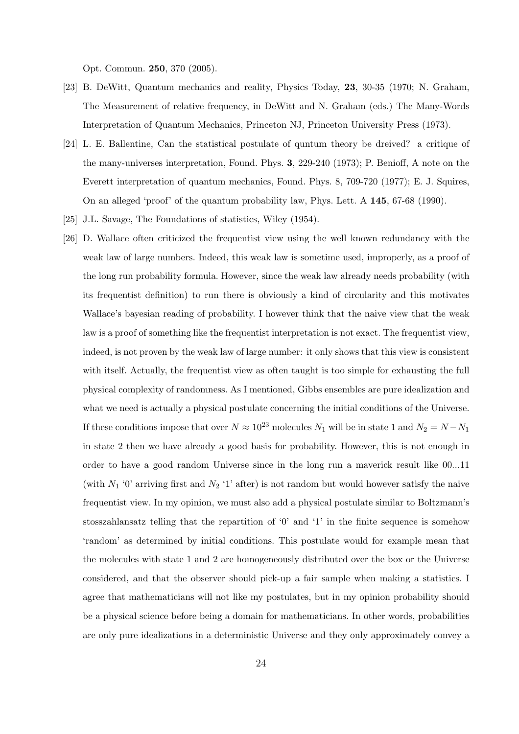Opt. Commun. 250, 370 (2005).

- [23] B. DeWitt, Quantum mechanics and reality, Physics Today, 23, 30-35 (1970; N. Graham, The Measurement of relative frequency, in DeWitt and N. Graham (eds.) The Many-Words Interpretation of Quantum Mechanics, Princeton NJ, Princeton University Press (1973).
- [24] L. E. Ballentine, Can the statistical postulate of quntum theory be dreived? a critique of the many-universes interpretation, Found. Phys. 3, 229-240 (1973); P. Benioff, A note on the Everett interpretation of quantum mechanics, Found. Phys. 8, 709-720 (1977); E. J. Squires, On an alleged 'proof' of the quantum probability law, Phys. Lett. A 145, 67-68 (1990).
- [25] J.L. Savage, The Foundations of statistics, Wiley (1954).
- [26] D. Wallace often criticized the frequentist view using the well known redundancy with the weak law of large numbers. Indeed, this weak law is sometime used, improperly, as a proof of the long run probability formula. However, since the weak law already needs probability (with its frequentist definition) to run there is obviously a kind of circularity and this motivates Wallace's bayesian reading of probability. I however think that the naive view that the weak law is a proof of something like the frequentist interpretation is not exact. The frequentist view, indeed, is not proven by the weak law of large number: it only shows that this view is consistent with itself. Actually, the frequentist view as often taught is too simple for exhausting the full physical complexity of randomness. As I mentioned, Gibbs ensembles are pure idealization and what we need is actually a physical postulate concerning the initial conditions of the Universe. If these conditions impose that over  $N \approx 10^{23}$  molecules  $N_1$  will be in state 1 and  $N_2 = N - N_1$ in state 2 then we have already a good basis for probability. However, this is not enough in order to have a good random Universe since in the long run a maverick result like 00...11 (with  $N_1$  '0' arriving first and  $N_2$  '1' after) is not random but would however satisfy the naive frequentist view. In my opinion, we must also add a physical postulate similar to Boltzmann's stosszahlansatz telling that the repartition of '0' and '1' in the finite sequence is somehow 'random' as determined by initial conditions. This postulate would for example mean that the molecules with state 1 and 2 are homogeneously distributed over the box or the Universe considered, and that the observer should pick-up a fair sample when making a statistics. I agree that mathematicians will not like my postulates, but in my opinion probability should be a physical science before being a domain for mathematicians. In other words, probabilities are only pure idealizations in a deterministic Universe and they only approximately convey a